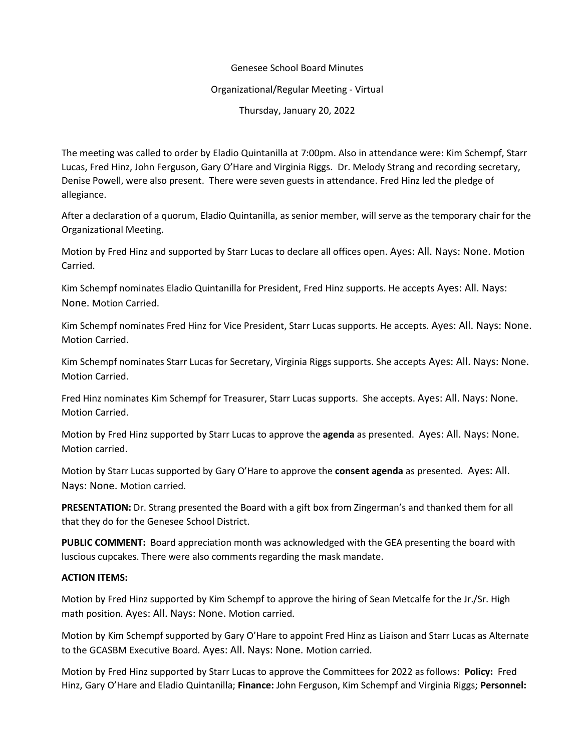## Genesee School Board Minutes

## Organizational/Regular Meeting - Virtual

Thursday, January 20, 2022

The meeting was called to order by Eladio Quintanilla at 7:00pm. Also in attendance were: Kim Schempf, Starr Lucas, Fred Hinz, John Ferguson, Gary O'Hare and Virginia Riggs. Dr. Melody Strang and recording secretary, Denise Powell, were also present. There were seven guests in attendance. Fred Hinz led the pledge of allegiance.

After a declaration of a quorum, Eladio Quintanilla, as senior member, will serve as the temporary chair for the Organizational Meeting.

Motion by Fred Hinz and supported by Starr Lucas to declare all offices open. Ayes: All. Nays: None. Motion Carried.

Kim Schempf nominates Eladio Quintanilla for President, Fred Hinz supports. He accepts Ayes: All. Nays: None. Motion Carried.

Kim Schempf nominates Fred Hinz for Vice President, Starr Lucas supports. He accepts. Ayes: All. Nays: None. Motion Carried.

Kim Schempf nominates Starr Lucas for Secretary, Virginia Riggs supports. She accepts Ayes: All. Nays: None. Motion Carried.

Fred Hinz nominates Kim Schempf for Treasurer, Starr Lucas supports. She accepts. Ayes: All. Nays: None. Motion Carried.

Motion by Fred Hinz supported by Starr Lucas to approve the **agenda** as presented. Ayes: All. Nays: None. Motion carried.

Motion by Starr Lucas supported by Gary O'Hare to approve the **consent agenda** as presented. Ayes: All. Nays: None. Motion carried.

**PRESENTATION:** Dr. Strang presented the Board with a gift box from Zingerman's and thanked them for all that they do for the Genesee School District.

**PUBLIC COMMENT:** Board appreciation month was acknowledged with the GEA presenting the board with luscious cupcakes. There were also comments regarding the mask mandate.

## **ACTION ITEMS:**

Motion by Fred Hinz supported by Kim Schempf to approve the hiring of Sean Metcalfe for the Jr./Sr. High math position. Ayes: All. Nays: None. Motion carried.

Motion by Kim Schempf supported by Gary O'Hare to appoint Fred Hinz as Liaison and Starr Lucas as Alternate to the GCASBM Executive Board. Ayes: All. Nays: None. Motion carried.

Motion by Fred Hinz supported by Starr Lucas to approve the Committees for 2022 as follows: **Policy:** Fred Hinz, Gary O'Hare and Eladio Quintanilla; **Finance:** John Ferguson, Kim Schempf and Virginia Riggs; **Personnel:**